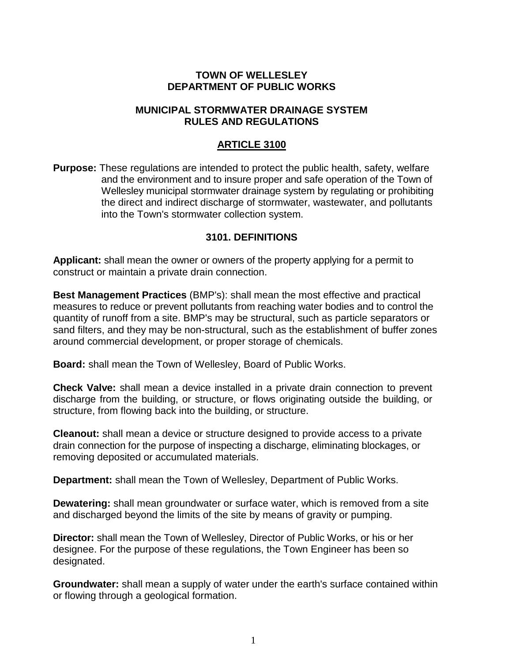### **TOWN OF WELLESLEY DEPARTMENT OF PUBLIC WORKS**

# **MUNICIPAL STORMWATER DRAINAGE SYSTEM RULES AND REGULATIONS**

# **ARTICLE 3100**

**Purpose:** These regulations are intended to protect the public health, safety, welfare and the environment and to insure proper and safe operation of the Town of Wellesley municipal stormwater drainage system by regulating or prohibiting the direct and indirect discharge of stormwater, wastewater, and pollutants into the Town's stormwater collection system.

#### **3101. DEFINITIONS**

**Applicant:** shall mean the owner or owners of the property applying for a permit to construct or maintain a private drain connection.

**Best Management Practices** (BMP's): shall mean the most effective and practical measures to reduce or prevent pollutants from reaching water bodies and to control the quantity of runoff from a site. BMP's may be structural, such as particle separators or sand filters, and they may be non-structural, such as the establishment of buffer zones around commercial development, or proper storage of chemicals.

**Board:** shall mean the Town of Wellesley, Board of Public Works.

**Check Valve:** shall mean a device installed in a private drain connection to prevent discharge from the building, or structure, or flows originating outside the building, or structure, from flowing back into the building, or structure.

**Cleanout:** shall mean a device or structure designed to provide access to a private drain connection for the purpose of inspecting a discharge, eliminating blockages, or removing deposited or accumulated materials.

**Department:** shall mean the Town of Wellesley, Department of Public Works.

**Dewatering:** shall mean groundwater or surface water, which is removed from a site and discharged beyond the limits of the site by means of gravity or pumping.

**Director:** shall mean the Town of Wellesley, Director of Public Works, or his or her designee. For the purpose of these regulations, the Town Engineer has been so designated.

**Groundwater:** shall mean a supply of water under the earth's surface contained within or flowing through a geological formation.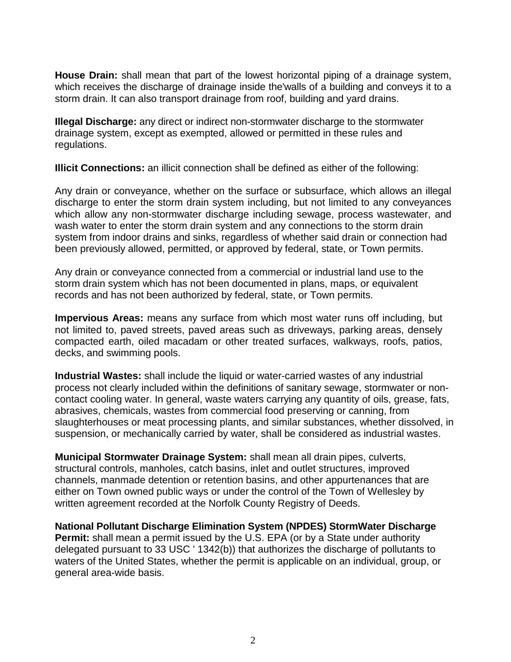**House Drain:** shall mean that part of the lowest horizontal piping of a drainage system, which receives the discharge of drainage inside the'walls of a building and conveys it to a storm drain. It can also transport drainage from roof, building and yard drains.

**Illegal Discharge:** any direct or indirect non-stormwater discharge to the stormwater drainage system, except as exempted, allowed or permitted in these rules and regulations.

**Illicit Connections:** an illicit connection shall be defined as either of the following:

Any drain or conveyance, whether on the surface or subsurface, which allows an illegal discharge to enter the storm drain system including, but not limited to any conveyances which allow any non-stormwater discharge including sewage, process wastewater, and wash water to enter the storm drain system and any connections to the storm drain system from indoor drains and sinks, regardless of whether said drain or connection had been previously allowed, permitted, or approved by federal, state, or Town permits.

Any drain or conveyance connected from a commercial or industrial land use to the storm drain system which has not been documented in plans, maps, or equivalent records and has not been authorized by federal, state, or Town permits.

**Impervious Areas:** means any surface from which most water runs off including, but not limited to, paved streets, paved areas such as driveways, parking areas, densely compacted earth, oiled macadam or other treated surfaces, walkways, roofs, patios, decks, and swimming pools.

**Industrial Wastes:** shall include the liquid or water-carried wastes of any industrial process not clearly included within the definitions of sanitary sewage, stormwater or noncontact cooling water. In general, waste waters carrying any quantity of oils, grease, fats, abrasives, chemicals, wastes from commercial food preserving or canning, from slaughterhouses or meat processing plants, and similar substances, whether dissolved, in suspension, or mechanically carried by water, shall be considered as industrial wastes.

**Municipal Stormwater Drainage System:** shall mean all drain pipes, culverts, structural controls, manholes, catch basins, inlet and outlet structures, improved channels, manmade detention or retention basins, and other appurtenances that are either on Town owned public ways or under the control of the Town of Wellesley by written agreement recorded at the Norfolk County Registry of Deeds.

**National Pollutant Discharge Elimination System (NPDES) StormWater Discharge Permit:** shall mean a permit issued by the U.S. EPA (or by a State under authority delegated pursuant to 33 USC ' 1342(b)) that authorizes the discharge of pollutants to waters of the United States, whether the permit is applicable on an individual, group, or general area-wide basis.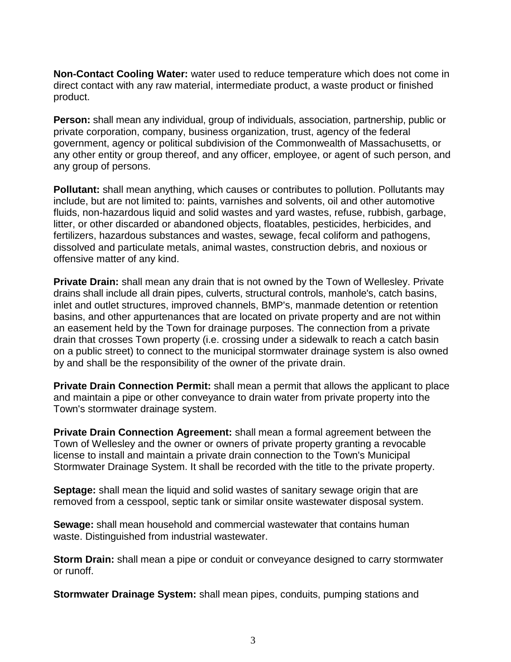**Non-Contact Cooling Water:** water used to reduce temperature which does not come in direct contact with any raw material, intermediate product, a waste product or finished product.

**Person:** shall mean any individual, group of individuals, association, partnership, public or private corporation, company, business organization, trust, agency of the federal government, agency or political subdivision of the Commonwealth of Massachusetts, or any other entity or group thereof, and any officer, employee, or agent of such person, and any group of persons.

**Pollutant:** shall mean anything, which causes or contributes to pollution. Pollutants may include, but are not limited to: paints, varnishes and solvents, oil and other automotive fluids, non-hazardous liquid and solid wastes and yard wastes, refuse, rubbish, garbage, litter, or other discarded or abandoned objects, floatables, pesticides, herbicides, and fertilizers, hazardous substances and wastes, sewage, fecal coliform and pathogens, dissolved and particulate metals, animal wastes, construction debris, and noxious or offensive matter of any kind.

**Private Drain:** shall mean any drain that is not owned by the Town of Wellesley. Private drains shall include all drain pipes, culverts, structural controls, manhole's, catch basins, inlet and outlet structures, improved channels, BMP's, manmade detention or retention basins, and other appurtenances that are located on private property and are not within an easement held by the Town for drainage purposes. The connection from a private drain that crosses Town property (i.e. crossing under a sidewalk to reach a catch basin on a public street) to connect to the municipal stormwater drainage system is also owned by and shall be the responsibility of the owner of the private drain.

**Private Drain Connection Permit:** shall mean a permit that allows the applicant to place and maintain a pipe or other conveyance to drain water from private property into the Town's stormwater drainage system.

**Private Drain Connection Agreement:** shall mean a formal agreement between the Town of Wellesley and the owner or owners of private property granting a revocable license to install and maintain a private drain connection to the Town's Municipal Stormwater Drainage System. It shall be recorded with the title to the private property.

**Septage:** shall mean the liquid and solid wastes of sanitary sewage origin that are removed from a cesspool, septic tank or similar onsite wastewater disposal system.

**Sewage:** shall mean household and commercial wastewater that contains human waste. Distinguished from industrial wastewater.

**Storm Drain:** shall mean a pipe or conduit or conveyance designed to carry stormwater or runoff.

**Stormwater Drainage System:** shall mean pipes, conduits, pumping stations and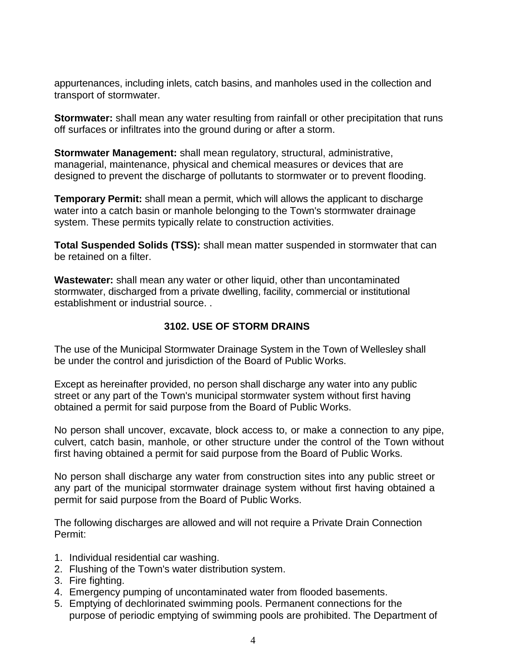appurtenances, including inlets, catch basins, and manholes used in the collection and transport of stormwater.

**Stormwater:** shall mean any water resulting from rainfall or other precipitation that runs off surfaces or infiltrates into the ground during or after a storm.

**Stormwater Management:** shall mean regulatory, structural, administrative, managerial, maintenance, physical and chemical measures or devices that are designed to prevent the discharge of pollutants to stormwater or to prevent flooding.

**Temporary Permit:** shall mean a permit, which will allows the applicant to discharge water into a catch basin or manhole belonging to the Town's stormwater drainage system. These permits typically relate to construction activities.

**Total Suspended Solids (TSS):** shall mean matter suspended in stormwater that can be retained on a filter.

**Wastewater:** shall mean any water or other liquid, other than uncontaminated stormwater, discharged from a private dwelling, facility, commercial or institutional establishment or industrial source. .

# **3102. USE OF STORM DRAINS**

The use of the Municipal Stormwater Drainage System in the Town of Wellesley shall be under the control and jurisdiction of the Board of Public Works.

Except as hereinafter provided, no person shall discharge any water into any public street or any part of the Town's municipal stormwater system without first having obtained a permit for said purpose from the Board of Public Works.

No person shall uncover, excavate, block access to, or make a connection to any pipe, culvert, catch basin, manhole, or other structure under the control of the Town without first having obtained a permit for said purpose from the Board of Public Works.

No person shall discharge any water from construction sites into any public street or any part of the municipal stormwater drainage system without first having obtained a permit for said purpose from the Board of Public Works.

The following discharges are allowed and will not require a Private Drain Connection Permit:

- 1. Individual residential car washing.
- 2. Flushing of the Town's water distribution system.
- 3. Fire fighting.
- 4. Emergency pumping of uncontaminated water from flooded basements.
- 5. Emptying of dechlorinated swimming pools. Permanent connections for the purpose of periodic emptying of swimming pools are prohibited. The Department of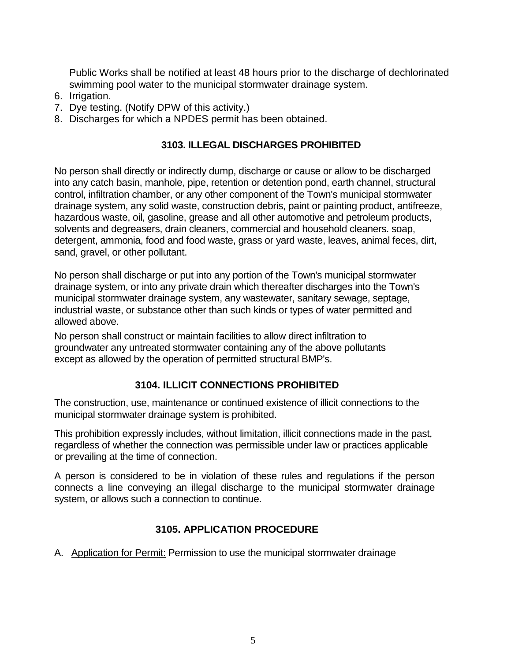Public Works shall be notified at least 48 hours prior to the discharge of dechlorinated swimming pool water to the municipal stormwater drainage system.

- 6. Irrigation.
- 7. Dye testing. (Notify DPW of this activity.)
- 8. Discharges for which a NPDES permit has been obtained.

# **3103. ILLEGAL DISCHARGES PROHIBITED**

No person shall directly or indirectly dump, discharge or cause or allow to be discharged into any catch basin, manhole, pipe, retention or detention pond, earth channel, structural control, infiltration chamber, or any other component of the Town's municipal stormwater drainage system, any solid waste, construction debris, paint or painting product, antifreeze, hazardous waste, oil, gasoline, grease and all other automotive and petroleum products, solvents and degreasers, drain cleaners, commercial and household cleaners. soap, detergent, ammonia, food and food waste, grass or yard waste, leaves, animal feces, dirt, sand, gravel, or other pollutant.

No person shall discharge or put into any portion of the Town's municipal stormwater drainage system, or into any private drain which thereafter discharges into the Town's municipal stormwater drainage system, any wastewater, sanitary sewage, septage, industrial waste, or substance other than such kinds or types of water permitted and allowed above.

No person shall construct or maintain facilities to allow direct infiltration to groundwater any untreated stormwater containing any of the above pollutants except as allowed by the operation of permitted structural BMP's.

# **3104. ILLICIT CONNECTIONS PROHIBITED**

The construction, use, maintenance or continued existence of illicit connections to the municipal stormwater drainage system is prohibited.

This prohibition expressly includes, without limitation, illicit connections made in the past, regardless of whether the connection was permissible under law or practices applicable or prevailing at the time of connection.

A person is considered to be in violation of these rules and regulations if the person connects a line conveying an illegal discharge to the municipal stormwater drainage system, or allows such a connection to continue.

# **3105. APPLICATION PROCEDURE**

A. Application for Permit: Permission to use the municipal stormwater drainage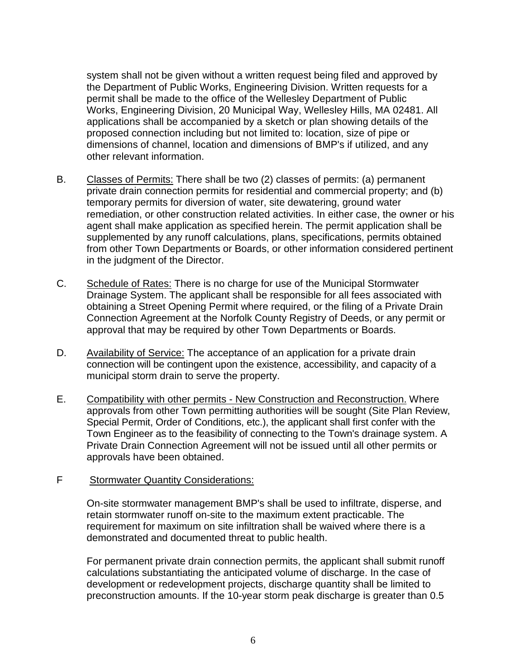system shall not be given without a written request being filed and approved by the Department of Public Works, Engineering Division. Written requests for a permit shall be made to the office of the Wellesley Department of Public Works, Engineering Division, 20 Municipal Way, Wellesley Hills, MA 02481. All applications shall be accompanied by a sketch or plan showing details of the proposed connection including but not limited to: location, size of pipe or dimensions of channel, location and dimensions of BMP's if utilized, and any other relevant information.

- B. Classes of Permits: There shall be two (2) classes of permits: (a) permanent private drain connection permits for residential and commercial property; and (b) temporary permits for diversion of water, site dewatering, ground water remediation, or other construction related activities. In either case, the owner or his agent shall make application as specified herein. The permit application shall be supplemented by any runoff calculations, plans, specifications, permits obtained from other Town Departments or Boards, or other information considered pertinent in the judgment of the Director.
- C. Schedule of Rates: There is no charge for use of the Municipal Stormwater Drainage System. The applicant shall be responsible for all fees associated with obtaining a Street Opening Permit where required, or the filing of a Private Drain Connection Agreement at the Norfolk County Registry of Deeds, or any permit or approval that may be required by other Town Departments or Boards.
- D. Availability of Service: The acceptance of an application for a private drain connection will be contingent upon the existence, accessibility, and capacity of a municipal storm drain to serve the property.
- E. Compatibility with other permits New Construction and Reconstruction. Where approvals from other Town permitting authorities will be sought (Site Plan Review, Special Permit, Order of Conditions, etc.), the applicant shall first confer with the Town Engineer as to the feasibility of connecting to the Town's drainage system. A Private Drain Connection Agreement will not be issued until all other permits or approvals have been obtained.

# F Stormwater Quantity Considerations:

On-site stormwater management BMP's shall be used to infiltrate, disperse, and retain stormwater runoff on-site to the maximum extent practicable. The requirement for maximum on site infiltration shall be waived where there is a demonstrated and documented threat to public health.

For permanent private drain connection permits, the applicant shall submit runoff calculations substantiating the anticipated volume of discharge. In the case of development or redevelopment projects, discharge quantity shall be limited to preconstruction amounts. If the 10-year storm peak discharge is greater than 0.5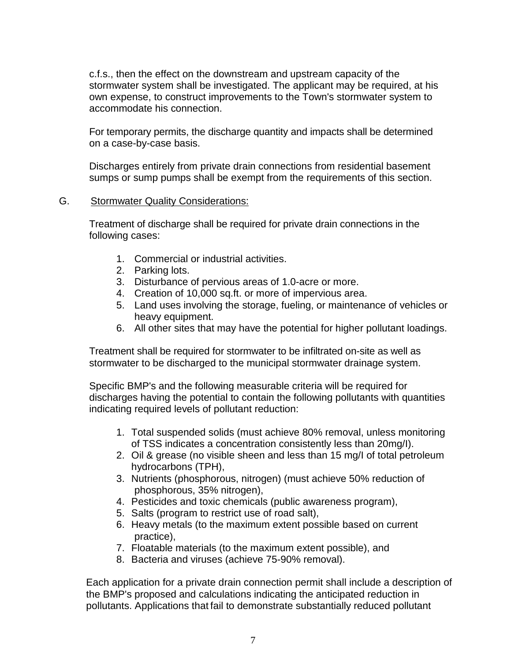c.f.s., then the effect on the downstream and upstream capacity of the stormwater system shall be investigated. The applicant may be required, at his own expense, to construct improvements to the Town's stormwater system to accommodate his connection.

For temporary permits, the discharge quantity and impacts shall be determined on a case-by-case basis.

Discharges entirely from private drain connections from residential basement sumps or sump pumps shall be exempt from the requirements of this section.

# G. Stormwater Quality Considerations:

Treatment of discharge shall be required for private drain connections in the following cases:

- 1. Commercial or industrial activities.
- 2. Parking lots.
- 3. Disturbance of pervious areas of 1.0-acre or more.
- 4. Creation of 10,000 sq.ft. or more of impervious area.
- 5. Land uses involving the storage, fueling, or maintenance of vehicles or heavy equipment.
- 6. All other sites that may have the potential for higher pollutant loadings.

Treatment shall be required for stormwater to be infiltrated on-site as well as stormwater to be discharged to the municipal stormwater drainage system.

Specific BMP's and the following measurable criteria will be required for discharges having the potential to contain the following pollutants with quantities indicating required levels of pollutant reduction:

- 1. Total suspended solids (must achieve 80% removal, unless monitoring of TSS indicates a concentration consistently less than 20mg/I).
- 2. Oil & grease (no visible sheen and less than 15 mg/I of total petroleum hydrocarbons (TPH),
- 3. Nutrients (phosphorous, nitrogen) (must achieve 50% reduction of phosphorous, 35% nitrogen),
- 4. Pesticides and toxic chemicals (public awareness program),
- 5. Salts (program to restrict use of road salt),
- 6. Heavy metals (to the maximum extent possible based on current practice),
- 7. Floatable materials (to the maximum extent possible), and
- 8. Bacteria and viruses (achieve 75-90% removal).

Each application for a private drain connection permit shall include a description of the BMP's proposed and calculations indicating the anticipated reduction in pollutants. Applications that fail to demonstrate substantially reduced pollutant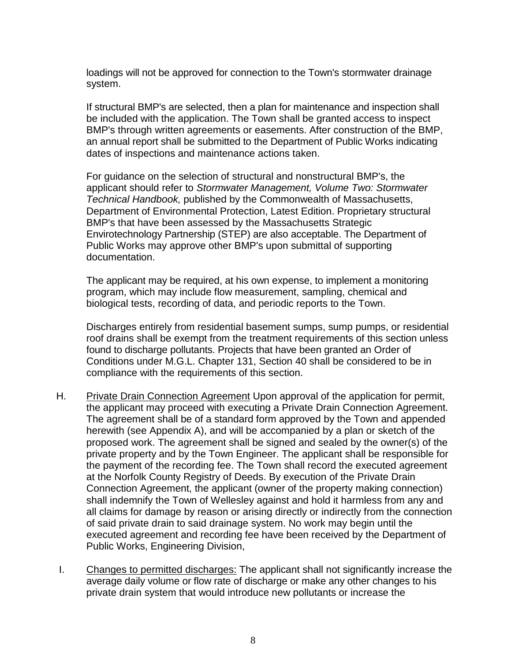loadings will not be approved for connection to the Town's stormwater drainage system.

If structural BMP's are selected, then a plan for maintenance and inspection shall be included with the application. The Town shall be granted access to inspect BMP's through written agreements or easements. After construction of the BMP, an annual report shall be submitted to the Department of Public Works indicating dates of inspections and maintenance actions taken.

For guidance on the selection of structural and nonstructural BMP's, the applicant should refer to *Stormwater Management, Volume Two: Stormwater Technical Handbook,* published by the Commonwealth of Massachusetts, Department of Environmental Protection, Latest Edition. Proprietary structural BMP's that have been assessed by the Massachusetts Strategic Envirotechnology Partnership (STEP) are also acceptable. The Department of Public Works may approve other BMP's upon submittal of supporting documentation.

The applicant may be required, at his own expense, to implement a monitoring program, which may include flow measurement, sampling, chemical and biological tests, recording of data, and periodic reports to the Town.

Discharges entirely from residential basement sumps, sump pumps, or residential roof drains shall be exempt from the treatment requirements of this section unless found to discharge pollutants. Projects that have been granted an Order of Conditions under M.G.L. Chapter 131, Section 40 shall be considered to be in compliance with the requirements of this section.

- H. Private Drain Connection Agreement Upon approval of the application for permit, the applicant may proceed with executing a Private Drain Connection Agreement. The agreement shall be of a standard form approved by the Town and appended herewith (see Appendix A), and will be accompanied by a plan or sketch of the proposed work. The agreement shall be signed and sealed by the owner(s) of the private property and by the Town Engineer. The applicant shall be responsible for the payment of the recording fee. The Town shall record the executed agreement at the Norfolk County Registry of Deeds. By execution of the Private Drain Connection Agreement, the applicant (owner of the property making connection) shall indemnify the Town of Wellesley against and hold it harmless from any and all claims for damage by reason or arising directly or indirectly from the connection of said private drain to said drainage system. No work may begin until the executed agreement and recording fee have been received by the Department of Public Works, Engineering Division,
- I. Changes to permitted discharges: The applicant shall not significantly increase the average daily volume or flow rate of discharge or make any other changes to his private drain system that would introduce new pollutants or increase the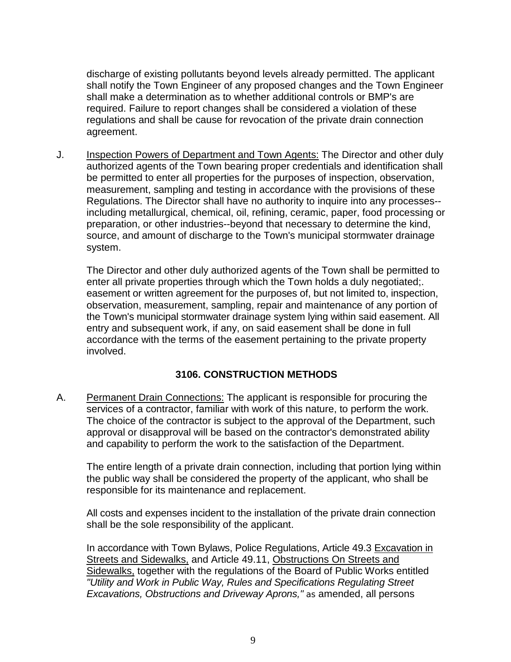discharge of existing pollutants beyond levels already permitted. The applicant shall notify the Town Engineer of any proposed changes and the Town Engineer shall make a determination as to whether additional controls or BMP's are required. Failure to report changes shall be considered a violation of these regulations and shall be cause for revocation of the private drain connection agreement.

J. **Inspection Powers of Department and Town Agents: The Director and other duly** authorized agents of the Town bearing proper credentials and identification shall be permitted to enter all properties for the purposes of inspection, observation, measurement, sampling and testing in accordance with the provisions of these Regulations. The Director shall have no authority to inquire into any processes- including metallurgical, chemical, oil, refining, ceramic, paper, food processing or preparation, or other industries--beyond that necessary to determine the kind, source, and amount of discharge to the Town's municipal stormwater drainage system.

The Director and other duly authorized agents of the Town shall be permitted to enter all private properties through which the Town holds a duly negotiated;. easement or written agreement for the purposes of, but not limited to, inspection, observation, measurement, sampling, repair and maintenance of any portion of the Town's municipal stormwater drainage system lying within said easement. All entry and subsequent work, if any, on said easement shall be done in full accordance with the terms of the easement pertaining to the private property involved.

# **3106. CONSTRUCTION METHODS**

A. Permanent Drain Connections: The applicant is responsible for procuring the services of a contractor, familiar with work of this nature, to perform the work. The choice of the contractor is subject to the approval of the Department, such approval or disapproval will be based on the contractor's demonstrated ability and capability to perform the work to the satisfaction of the Department.

The entire length of a private drain connection, including that portion lying within the public way shall be considered the property of the applicant, who shall be responsible for its maintenance and replacement.

All costs and expenses incident to the installation of the private drain connection shall be the sole responsibility of the applicant.

In accordance with Town Bylaws, Police Regulations, Article 49.3 Excavation in Streets and Sidewalks, and Article 49.11, Obstructions On Streets and Sidewalks, together with the regulations of the Board of Public Works entitled *"Utility and Work in Public Way, Rules and Specifications Regulating Street Excavations, Obstructions and Driveway Aprons," as* amended, all persons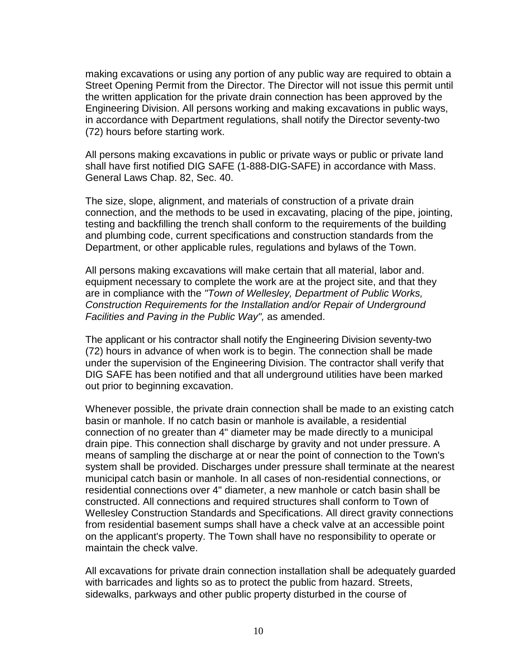making excavations or using any portion of any public way are required to obtain a Street Opening Permit from the Director. The Director will not issue this permit until the written application for the private drain connection has been approved by the Engineering Division. All persons working and making excavations in public ways, in accordance with Department regulations, shall notify the Director seventy-two (72) hours before starting work.

All persons making excavations in public or private ways or public or private land shall have first notified DIG SAFE (1-888-DIG-SAFE) in accordance with Mass. General Laws Chap. 82, Sec. 40.

The size, slope, alignment, and materials of construction of a private drain connection, and the methods to be used in excavating, placing of the pipe, jointing, testing and backfilling the trench shall conform to the requirements of the building and plumbing code, current specifications and construction standards from the Department, or other applicable rules, regulations and bylaws of the Town.

All persons making excavations will make certain that all material, labor and. equipment necessary to complete the work are at the project site, and that they are in compliance with the *"Town of Wellesley, Department of Public Works, Construction Requirements for the Installation and/or Repair of Underground Facilities and Paving in the Public Way",* as amended.

The applicant or his contractor shall notify the Engineering Division seventy-two (72) hours in advance of when work is to begin. The connection shall be made under the supervision of the Engineering Division. The contractor shall verify that DIG SAFE has been notified and that all underground utilities have been marked out prior to beginning excavation.

Whenever possible, the private drain connection shall be made to an existing catch basin or manhole. If no catch basin or manhole is available, a residential connection of no greater than 4" diameter may be made directly to a municipal drain pipe. This connection shall discharge by gravity and not under pressure. A means of sampling the discharge at or near the point of connection to the Town's system shall be provided. Discharges under pressure shall terminate at the nearest municipal catch basin or manhole. In all cases of non-residential connections, or residential connections over 4" diameter, a new manhole or catch basin shall be constructed. All connections and required structures shall conform to Town of Wellesley Construction Standards and Specifications. All direct gravity connections from residential basement sumps shall have a check valve at an accessible point on the applicant's property. The Town shall have no responsibility to operate or maintain the check valve.

All excavations for private drain connection installation shall be adequately guarded with barricades and lights so as to protect the public from hazard. Streets, sidewalks, parkways and other public property disturbed in the course of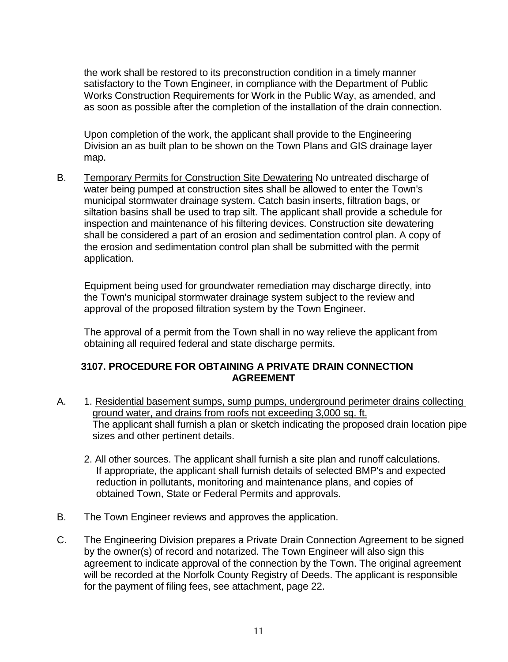the work shall be restored to its preconstruction condition in a timely manner satisfactory to the Town Engineer, in compliance with the Department of Public Works Construction Requirements for Work in the Public Way, as amended, and as soon as possible after the completion of the installation of the drain connection.

Upon completion of the work, the applicant shall provide to the Engineering Division an as built plan to be shown on the Town Plans and GIS drainage layer map.

B. Temporary Permits for Construction Site Dewatering No untreated discharge of water being pumped at construction sites shall be allowed to enter the Town's municipal stormwater drainage system. Catch basin inserts, filtration bags, or siltation basins shall be used to trap silt. The applicant shall provide a schedule for inspection and maintenance of his filtering devices. Construction site dewatering shall be considered a part of an erosion and sedimentation control plan. A copy of the erosion and sedimentation control plan shall be submitted with the permit application.

Equipment being used for groundwater remediation may discharge directly, into the Town's municipal stormwater drainage system subject to the review and approval of the proposed filtration system by the Town Engineer.

The approval of a permit from the Town shall in no way relieve the applicant from obtaining all required federal and state discharge permits.

# **3107. PROCEDURE FOR OBTAINING A PRIVATE DRAIN CONNECTION AGREEMENT**

- A. 1. Residential basement sumps, sump pumps, underground perimeter drains collecting ground water, and drains from roofs not exceeding 3,000 sq. ft. The applicant shall furnish a plan or sketch indicating the proposed drain location pipe sizes and other pertinent details.
	- 2. All other sources. The applicant shall furnish a site plan and runoff calculations. If appropriate, the applicant shall furnish details of selected BMP's and expected reduction in pollutants, monitoring and maintenance plans, and copies of obtained Town, State or Federal Permits and approvals.
- B. The Town Engineer reviews and approves the application.
- C. The Engineering Division prepares a Private Drain Connection Agreement to be signed by the owner(s) of record and notarized. The Town Engineer will also sign this agreement to indicate approval of the connection by the Town. The original agreement will be recorded at the Norfolk County Registry of Deeds. The applicant is responsible for the payment of filing fees, see attachment, page 22.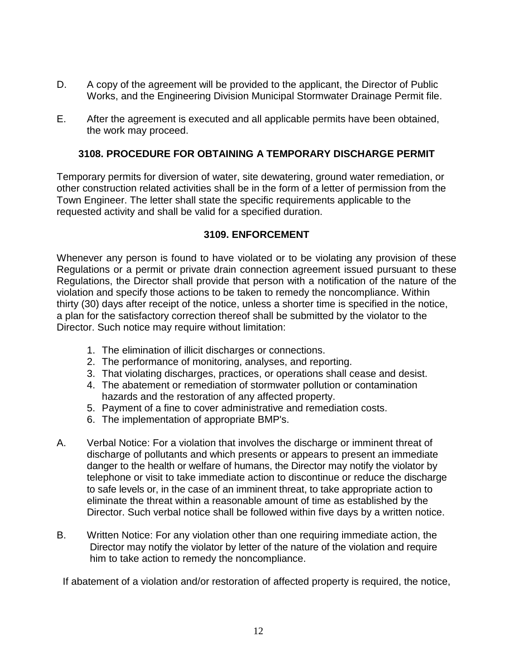- D. A copy of the agreement will be provided to the applicant, the Director of Public Works, and the Engineering Division Municipal Stormwater Drainage Permit file.
- E. After the agreement is executed and all applicable permits have been obtained, the work may proceed.

# **3108. PROCEDURE FOR OBTAINING A TEMPORARY DISCHARGE PERMIT**

Temporary permits for diversion of water, site dewatering, ground water remediation, or other construction related activities shall be in the form of a letter of permission from the Town Engineer. The letter shall state the specific requirements applicable to the requested activity and shall be valid for a specified duration.

# **3109. ENFORCEMENT**

Whenever any person is found to have violated or to be violating any provision of these Regulations or a permit or private drain connection agreement issued pursuant to these Regulations, the Director shall provide that person with a notification of the nature of the violation and specify those actions to be taken to remedy the noncompliance. Within thirty (30) days after receipt of the notice, unless a shorter time is specified in the notice, a plan for the satisfactory correction thereof shall be submitted by the violator to the Director. Such notice may require without limitation:

- 1. The elimination of illicit discharges or connections.
- 2. The performance of monitoring, analyses, and reporting.
- 3. That violating discharges, practices, or operations shall cease and desist.
- 4. The abatement or remediation of stormwater pollution or contamination hazards and the restoration of any affected property.
- 5. Payment of a fine to cover administrative and remediation costs.
- 6. The implementation of appropriate BMP's.
- A. Verbal Notice: For a violation that involves the discharge or imminent threat of discharge of pollutants and which presents or appears to present an immediate danger to the health or welfare of humans, the Director may notify the violator by telephone or visit to take immediate action to discontinue or reduce the discharge to safe levels or, in the case of an imminent threat, to take appropriate action to eliminate the threat within a reasonable amount of time as established by the Director. Such verbal notice shall be followed within five days by a written notice.
- B. Written Notice: For any violation other than one requiring immediate action, the Director may notify the violator by letter of the nature of the violation and require him to take action to remedy the noncompliance.

If abatement of a violation and/or restoration of affected property is required, the notice,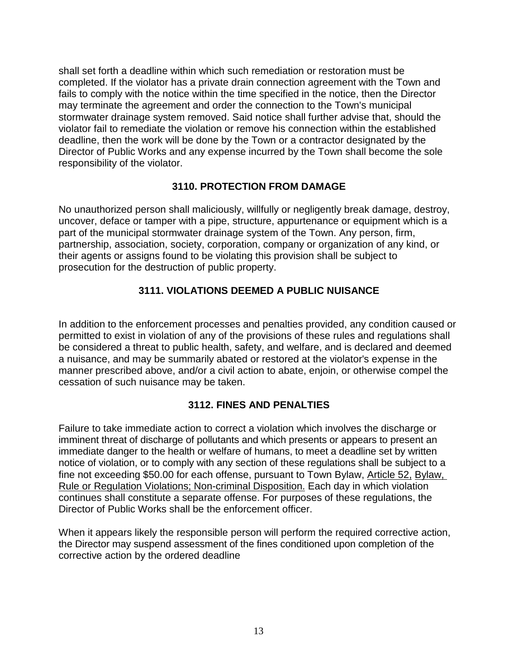shall set forth a deadline within which such remediation or restoration must be completed. If the violator has a private drain connection agreement with the Town and fails to comply with the notice within the time specified in the notice, then the Director may terminate the agreement and order the connection to the Town's municipal stormwater drainage system removed. Said notice shall further advise that, should the violator fail to remediate the violation or remove his connection within the established deadline, then the work will be done by the Town or a contractor designated by the Director of Public Works and any expense incurred by the Town shall become the sole responsibility of the violator.

# **3110. PROTECTION FROM DAMAGE**

No unauthorized person shall maliciously, willfully or negligently break damage, destroy, uncover, deface or tamper with a pipe, structure, appurtenance or equipment which is a part of the municipal stormwater drainage system of the Town. Any person, firm, partnership, association, society, corporation, company or organization of any kind, or their agents or assigns found to be violating this provision shall be subject to prosecution for the destruction of public property.

# **3111. VIOLATIONS DEEMED A PUBLIC NUISANCE**

In addition to the enforcement processes and penalties provided, any condition caused or permitted to exist in violation of any of the provisions of these rules and regulations shall be considered a threat to public health, safety, and welfare, and is declared and deemed a nuisance, and may be summarily abated or restored at the violator's expense in the manner prescribed above, and/or a civil action to abate, enjoin, or otherwise compel the cessation of such nuisance may be taken.

# **3112. FINES AND PENALTIES**

Failure to take immediate action to correct a violation which involves the discharge or imminent threat of discharge of pollutants and which presents or appears to present an immediate danger to the health or welfare of humans, to meet a deadline set by written notice of violation, or to comply with any section of these regulations shall be subject to a fine not exceeding \$50.00 for each offense, pursuant to Town Bylaw, Article 52, Bylaw, Rule or Regulation Violations; Non-criminal Disposition. Each day in which violation continues shall constitute a separate offense. For purposes of these regulations, the Director of Public Works shall be the enforcement officer.

When it appears likely the responsible person will perform the required corrective action, the Director may suspend assessment of the fines conditioned upon completion of the corrective action by the ordered deadline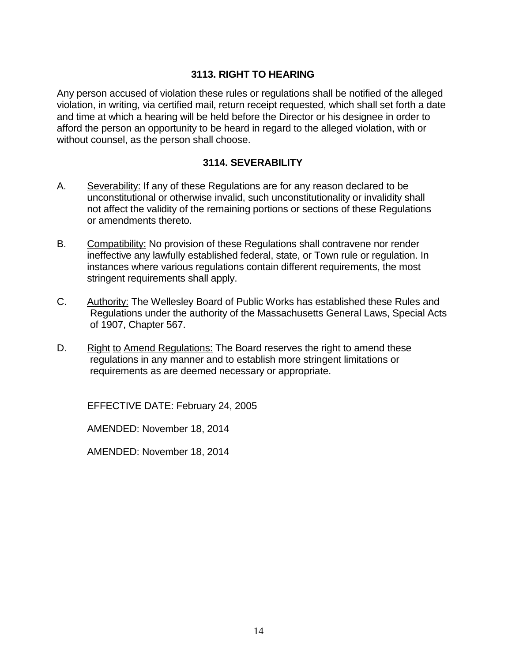# **3113. RIGHT TO HEARING**

Any person accused of violation these rules or regulations shall be notified of the alleged violation, in writing, via certified mail, return receipt requested, which shall set forth a date and time at which a hearing will be held before the Director or his designee in order to afford the person an opportunity to be heard in regard to the alleged violation, with or without counsel, as the person shall choose.

# **3114. SEVERABILITY**

- A. Severability: If any of these Regulations are for any reason declared to be unconstitutional or otherwise invalid, such unconstitutionality or invalidity shall not affect the validity of the remaining portions or sections of these Regulations or amendments thereto.
- B. Compatibility: No provision of these Regulations shall contravene nor render ineffective any lawfully established federal, state, or Town rule or regulation. In instances where various regulations contain different requirements, the most stringent requirements shall apply.
- C. Authority: The Wellesley Board of Public Works has established these Rules and Regulations under the authority of the Massachusetts General Laws, Special Acts of 1907, Chapter 567.
- D. Right to Amend Regulations: The Board reserves the right to amend these regulations in any manner and to establish more stringent limitations or requirements as are deemed necessary or appropriate.

EFFECTIVE DATE: February 24, 2005

AMENDED: November 18, 2014

AMENDED: November 18, 2014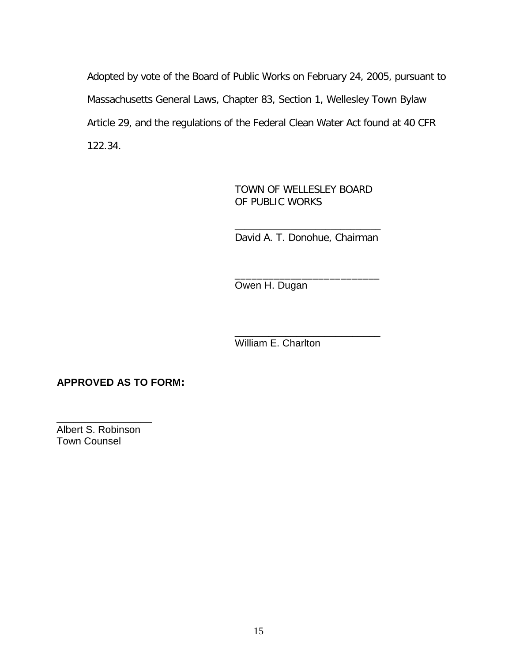Adopted by vote of the Board of Public Works on February 24, 2005, pursuant to Massachusetts General Laws, Chapter 83, Section 1, Wellesley Town Bylaw Article 29, and the regulations of the Federal Clean Water Act found at 40 CFR 122.34.

> TOWN OF WELLESLEY BOARD OF PUBLIC WORKS

\_\_\_\_\_\_\_\_\_\_\_\_\_\_\_\_\_\_\_\_\_\_\_\_\_\_\_\_\_ David A. T. Donohue, Chairman

\_\_\_\_\_\_\_\_\_\_\_\_\_\_\_\_\_\_\_\_\_\_\_\_\_\_ Owen H. Dugan

\_\_\_\_\_\_\_\_\_\_\_\_\_\_\_\_\_\_\_\_\_\_\_\_\_\_ William E. Charlton

**APPROVED AS TO FORM:** 

\_\_\_\_\_\_\_\_\_\_\_\_\_\_\_\_\_ Albert S. Robinson Town Counsel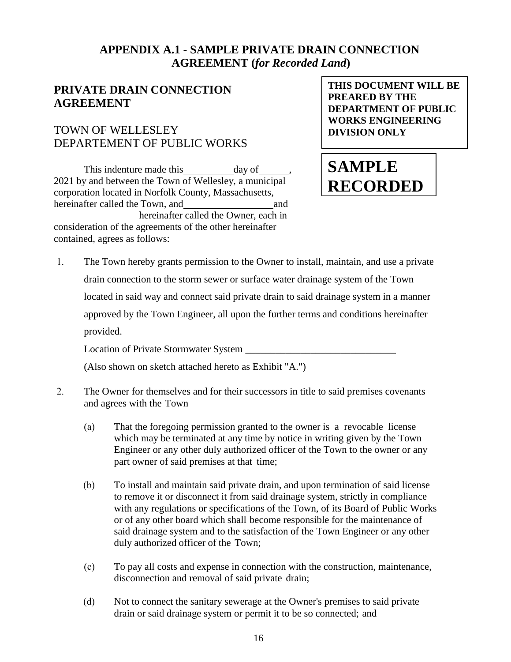# **APPENDIX A.1 - SAMPLE PRIVATE DRAIN CONNECTION AGREEMENT (***for Recorded Land***)**

# **PRIVATE DRAIN CONNECTION AGREEMENT**

# TOWN OF WELLESLEY DEPARTEMENT OF PUBLIC WORKS

This indenture made this day of 2021 by and between the Town of Wellesley, a municipal corporation located in Norfolk County, Massachusetts, hereinafter called the Town, and and and hereinafter called the Owner, each in consideration of the agreements of the other hereinafter contained, agrees as follows:

**THIS DOCUMENT WILL BE PREARED BY THE DEPARTMENT OF PUBLIC WORKS ENGINEERING DIVISION ONLY**

# **SAMPLE RECORDED**

1. The Town hereby grants permission to the Owner to install, maintain, and use a private drain connection to the storm sewer or surface water drainage system of the Town located in said way and connect said private drain to said drainage system in a manner approved by the Town Engineer, all upon the further terms and conditions hereinafter provided. Location of Private Stormwater System \_\_\_\_\_\_\_\_\_\_\_\_\_\_\_\_\_\_\_\_\_\_\_\_\_\_\_\_\_\_

(Also shown on sketch attached hereto as Exhibit "A.")

- 2. The Owner for themselves and for their successors in title to said premises covenants and agrees with the Town
	- (a) That the foregoing permission granted to the owner is a revocable license which may be terminated at any time by notice in writing given by the Town Engineer or any other duly authorized officer of the Town to the owner or any part owner of said premises at that time;
	- (b) To install and maintain said private drain, and upon termination of said license to remove it or disconnect it from said drainage system, strictly in compliance with any regulations or specifications of the Town, of its Board of Public Works or of any other board which shall become responsible for the maintenance of said drainage system and to the satisfaction of the Town Engineer or any other duly authorized officer of the Town;
	- (c) To pay all costs and expense in connection with the construction, maintenance, disconnection and removal of said private drain;
	- (d) Not to connect the sanitary sewerage at the Owner's premises to said private drain or said drainage system or permit it to be so connected; and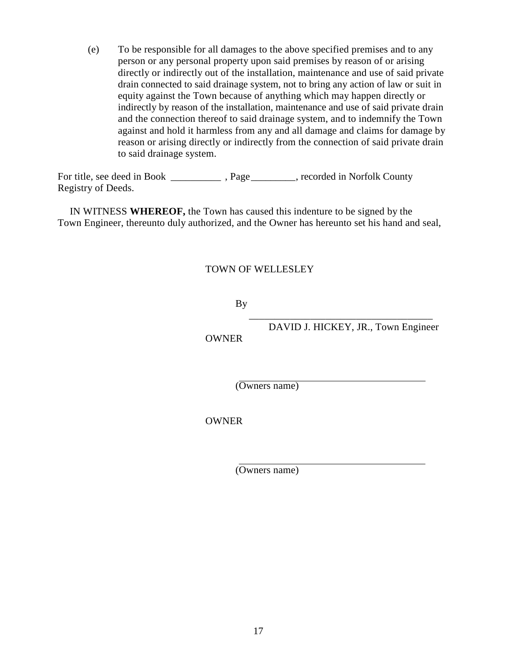(e) To be responsible for all damages to the above specified premises and to any person or any personal property upon said premises by reason of or arising directly or indirectly out of the installation, maintenance and use of said private drain connected to said drainage system, not to bring any action of law or suit in equity against the Town because of anything which may happen directly or indirectly by reason of the installation, maintenance and use of said private drain and the connection thereof to said drainage system, and to indemnify the Town against and hold it harmless from any and all damage and claims for damage by reason or arising directly or indirectly from the connection of said private drain to said drainage system.

For title, see deed in Book . Page states recorded in Norfolk County Registry of Deeds.

IN WITNESS **WHEREOF,** the Town has caused this indenture to be signed by the Town Engineer, thereunto duly authorized, and the Owner has hereunto set his hand and seal,

# TOWN OF WELLESLEY

By

**OWNER** 

 \_\_\_\_\_\_\_\_\_\_\_\_\_\_\_\_\_\_\_\_\_\_\_\_\_\_\_\_\_\_\_\_\_\_\_\_ DAVID J. HICKEY, JR., Town Engineer

(Owners name)

OWNER

(Owners name)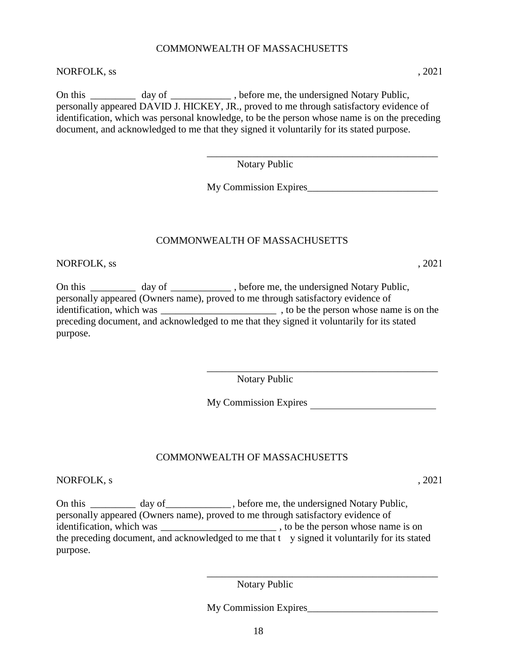# COMMONWEALTH OF MASSACHUSETTS

#### NORFOLK, ss , 2021

On this \_\_\_\_\_\_\_\_\_\_ day of \_\_\_\_\_\_\_\_\_\_\_\_\_, before me, the undersigned Notary Public, personally appeared DAVID J. HICKEY, JR., proved to me through satisfactory evidence of identification, which was personal knowledge, to be the person whose name is on the preceding document, and acknowledged to me that they signed it voluntarily for its stated purpose.

Notary Public

My Commission Expires\_\_\_\_\_\_\_\_\_\_\_\_\_\_\_\_\_\_\_\_\_\_\_\_\_\_

\_\_\_\_\_\_\_\_\_\_\_\_\_\_\_\_\_\_\_\_\_\_\_\_\_\_\_\_\_\_\_\_\_\_\_\_\_\_\_\_\_\_\_\_\_\_

# COMMONWEALTH OF MASSACHUSETTS

NORFOLK, ss , 2021

On this \_\_\_\_\_\_\_\_\_\_ day of \_\_\_\_\_\_\_\_\_\_\_\_, before me, the undersigned Notary Public, personally appeared (Owners name), proved to me through satisfactory evidence of identification, which was  $\qquad \qquad$ , to be the person whose name is on the preceding document, and acknowledged to me that they signed it voluntarily for its stated purpose.

> \_\_\_\_\_\_\_\_\_\_\_\_\_\_\_\_\_\_\_\_\_\_\_\_\_\_\_\_\_\_\_\_\_\_\_\_\_\_\_\_\_\_\_\_\_\_ Notary Public

My Commission Expires

\_\_\_\_\_\_\_\_\_\_\_\_\_\_\_\_\_\_\_\_\_\_\_\_\_\_\_\_\_\_\_\_\_\_\_\_\_\_\_\_\_\_\_\_\_\_

# COMMONWEALTH OF MASSACHUSETTS

NORFOLK, s , 2021

On this \_\_\_\_\_\_\_\_\_ day of \_\_\_\_\_\_\_\_\_\_\_, before me, the undersigned Notary Public, personally appeared (Owners name), proved to me through satisfactory evidence of identification, which was \_\_\_\_\_\_\_\_\_\_\_\_\_\_\_\_\_\_\_\_\_\_\_ , to be the person whose name is on the preceding document, and acknowledged to me that the y signed it voluntarily for its stated purpose.

Notary Public

My Commission Expires\_\_\_\_\_\_\_\_\_\_\_\_\_\_\_\_\_\_\_\_\_\_\_\_\_\_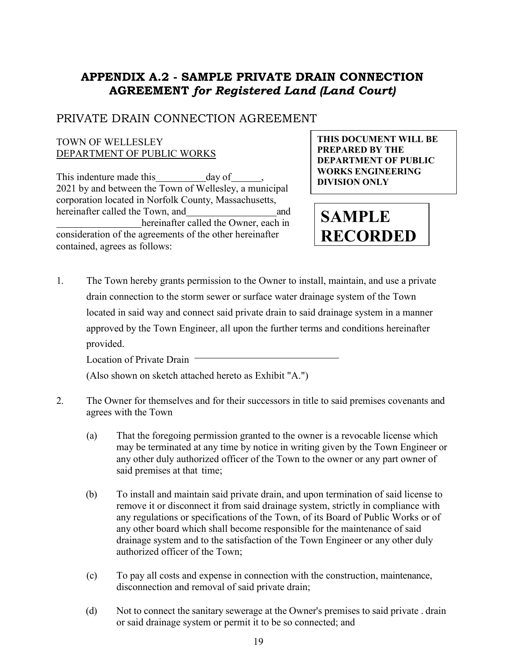# **APPENDIX A.2 - SAMPLE PRIVATE DRAIN CONNECTION AGREEMENT** *for Registered Land (Land Court)*

# PRIVATE DRAIN CONNECTION AGREEMENT

### TOWN OF WELLESLEY DEPARTMENT OF PUBLIC WORKS

This indenture made this day of 2021 by and between the Town of Wellesley, a municipal corporation located in Norfolk County, Massachusetts, hereinafter called the Town, and and and hereinafter called the Owner, each in consideration of the agreements of the other hereinafter contained, agrees as follows:

**THIS DOCUMENT WILL BE PREPARED BY THE DEPARTMENT OF PUBLIC WORKS ENGINEERING DIVISION ONLY**

**SAMPLE RECORDED**

1. The Town hereby grants permission to the Owner to install, maintain, and use a private drain connection to the storm sewer or surface water drainage system of the Town located in said way and connect said private drain to said drainage system in a manner approved by the Town Engineer, all upon the further terms and conditions hereinafter provided.

Location of Private Drain -

(Also shown on sketch attached hereto as Exhibit "A.")

- 2. The Owner for themselves and for their successors in title to said premises covenants and agrees with the Town
	- (a) That the foregoing permission granted to the owner is a revocable license which may be terminated at any time by notice in writing given by the Town Engineer or any other duly authorized officer of the Town to the owner or any part owner of said premises at that time;
	- (b) To install and maintain said private drain, and upon termination of said license to remove it or disconnect it from said drainage system, strictly in compliance with any regulations or specifications of the Town, of its Board of Public Works or of any other board which shall become responsible for the maintenance of said drainage system and to the satisfaction of the Town Engineer or any other duly authorized officer of the Town;
	- (c) To pay all costs and expense in connection with the construction, maintenance, disconnection and removal of said private drain;
	- (d) Not to connect the sanitary sewerage at the Owner's premises to said private . drain or said drainage system or permit it to be so connected; and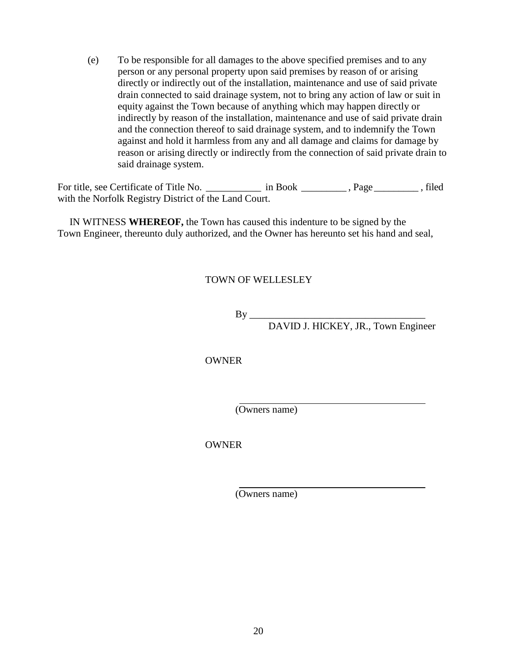(e) To be responsible for all damages to the above specified premises and to any person or any personal property upon said premises by reason of or arising directly or indirectly out of the installation, maintenance and use of said private drain connected to said drainage system, not to bring any action of law or suit in equity against the Town because of anything which may happen directly or indirectly by reason of the installation, maintenance and use of said private drain and the connection thereof to said drainage system, and to indemnify the Town against and hold it harmless from any and all damage and claims for damage by reason or arising directly or indirectly from the connection of said private drain to said drainage system.

For title, see Certificate of Title No. \_\_\_\_\_\_\_\_\_\_\_\_ in Book \_\_\_\_\_\_\_\_\_\_, Page \_\_\_\_\_\_\_\_\_, filed with the Norfolk Registry District of the Land Court.

IN WITNESS **WHEREOF,** the Town has caused this indenture to be signed by the Town Engineer, thereunto duly authorized, and the Owner has hereunto set his hand and seal,

# TOWN OF WELLESLEY

By \_\_\_\_\_\_\_\_\_\_\_\_\_\_\_\_\_\_\_\_\_\_\_\_\_\_\_\_\_\_\_\_\_\_\_ DAVID J. HICKEY, JR., Town Engineer

OWNER

(Owners name)

**OWNER** 

(Owners name)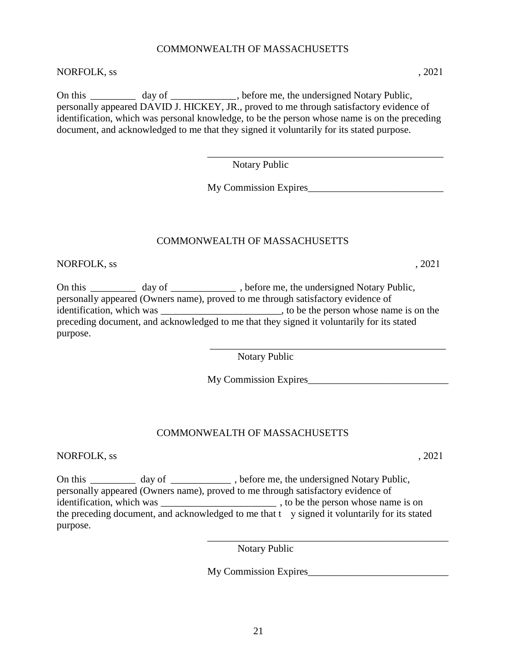# COMMONWEALTH OF MASSACHUSETTS

# NORFOLK, ss , 2021

On this day of the subset of the undersigned Notary Public, personally appeared DAVID J. HICKEY, JR., proved to me through satisfactory evidence of identification, which was personal knowledge, to be the person whose name is on the preceding document, and acknowledged to me that they signed it voluntarily for its stated purpose.

> \_\_\_\_\_\_\_\_\_\_\_\_\_\_\_\_\_\_\_\_\_\_\_\_\_\_\_\_\_\_\_\_\_\_\_\_\_\_\_\_\_\_\_\_\_\_\_ Notary Public

> My Commission Expires

# COMMONWEALTH OF MASSACHUSETTS

NORFOLK, ss , 2021

On this \_\_\_\_\_\_\_\_\_ day of \_\_\_\_\_\_\_\_\_\_\_\_\_, before me, the undersigned Notary Public, personally appeared (Owners name), proved to me through satisfactory evidence of identification, which was  $\qquad \qquad$ , to be the person whose name is on the preceding document, and acknowledged to me that they signed it voluntarily for its stated purpose.

Notary Public

My Commission Expires\_\_\_\_\_\_\_\_\_\_\_\_\_\_\_\_\_\_\_\_\_\_\_\_\_\_\_\_

\_\_\_\_\_\_\_\_\_\_\_\_\_\_\_\_\_\_\_\_\_\_\_\_\_\_\_\_\_\_\_\_\_\_\_\_\_\_\_\_\_\_\_\_\_\_\_

# COMMONWEALTH OF MASSACHUSETTS

NORFOLK, ss , 2021

On this \_\_\_\_\_\_\_\_\_\_ day of \_\_\_\_\_\_\_\_\_\_\_\_\_, before me, the undersigned Notary Public, personally appeared (Owners name), proved to me through satisfactory evidence of identification, which was the set of the person whose name is on  $\alpha$ , to be the person whose name is on the preceding document, and acknowledged to me that  $t$  y signed it voluntarily for its stated purpose. \_\_\_\_\_\_\_\_\_\_\_\_\_\_\_\_\_\_\_\_\_\_\_\_\_\_\_\_\_\_\_\_\_\_\_\_\_\_\_\_\_\_\_\_\_\_\_\_

Notary Public

My Commission Expires